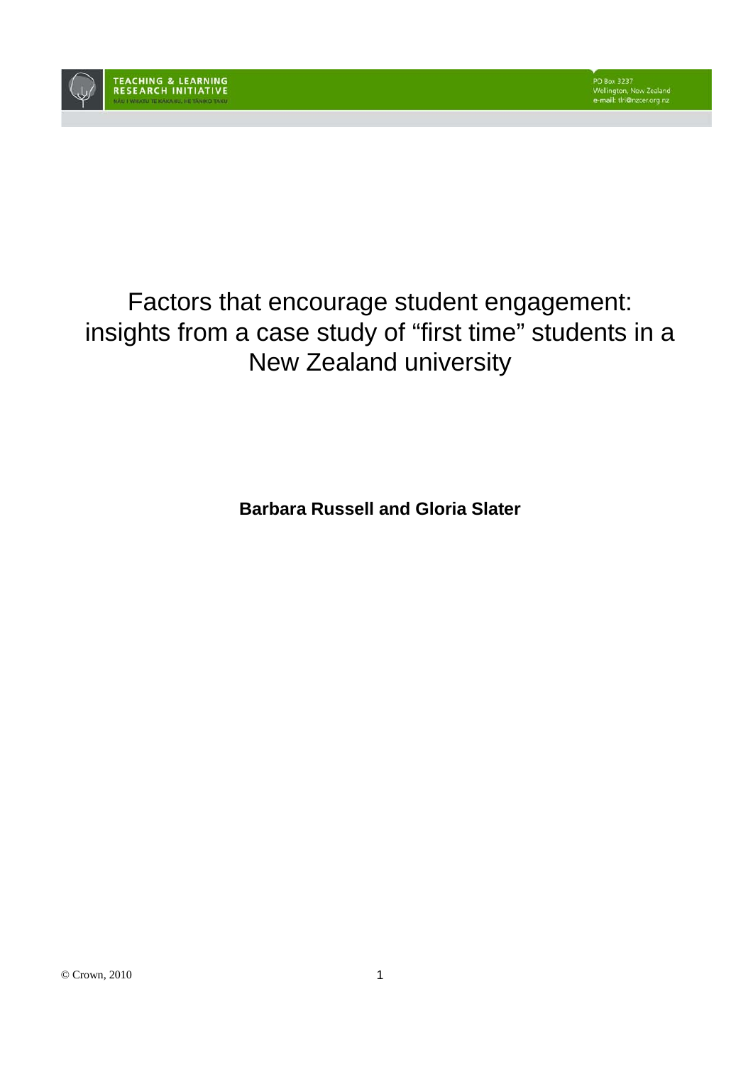

# Factors that encourage student engagement: insights from a case study of "first time" students in a New Zealand university

**Barbara Russell and Gloria Slater**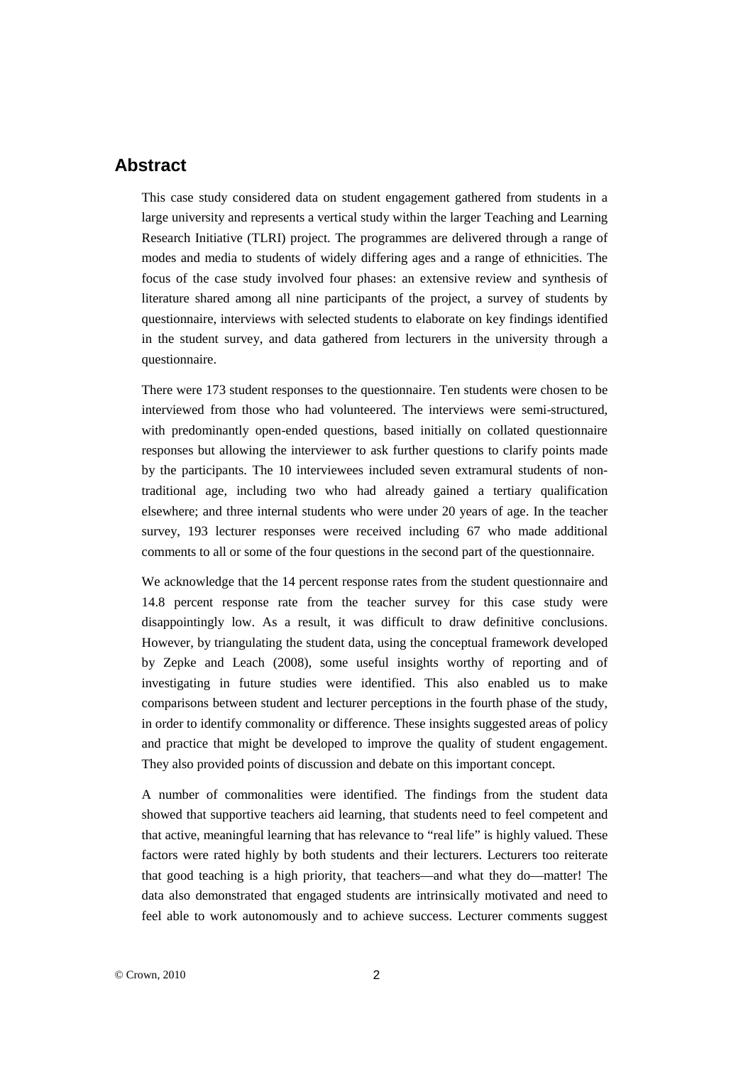# **Abstract**

This case study considered data on student engagement gathered from students in a large university and represents a vertical study within the larger Teaching and Learning Research Initiative (TLRI) project. The programmes are delivered through a range of modes and media to students of widely differing ages and a range of ethnicities. The focus of the case study involved four phases: an extensive review and synthesis of literature shared among all nine participants of the project, a survey of students by questionnaire, interviews with selected students to elaborate on key findings identified in the student survey, and data gathered from lecturers in the university through a questionnaire.

There were 173 student responses to the questionnaire. Ten students were chosen to be interviewed from those who had volunteered. The interviews were semi-structured, with predominantly open-ended questions, based initially on collated questionnaire responses but allowing the interviewer to ask further questions to clarify points made by the participants. The 10 interviewees included seven extramural students of nontraditional age, including two who had already gained a tertiary qualification elsewhere; and three internal students who were under 20 years of age. In the teacher survey, 193 lecturer responses were received including 67 who made additional comments to all or some of the four questions in the second part of the questionnaire.

We acknowledge that the 14 percent response rates from the student questionnaire and 14.8 percent response rate from the teacher survey for this case study were disappointingly low. As a result, it was difficult to draw definitive conclusions. However, by triangulating the student data, using the conceptual framework developed by Zepke and Leach (2008), some useful insights worthy of reporting and of investigating in future studies were identified. This also enabled us to make comparisons between student and lecturer perceptions in the fourth phase of the study, in order to identify commonality or difference. These insights suggested areas of policy and practice that might be developed to improve the quality of student engagement. They also provided points of discussion and debate on this important concept.

A number of commonalities were identified. The findings from the student data showed that supportive teachers aid learning, that students need to feel competent and that active, meaningful learning that has relevance to "real life" is highly valued. These factors were rated highly by both students and their lecturers. Lecturers too reiterate that good teaching is a high priority, that teachers—and what they do—matter! The data also demonstrated that engaged students are intrinsically motivated and need to feel able to work autonomously and to achieve success. Lecturer comments suggest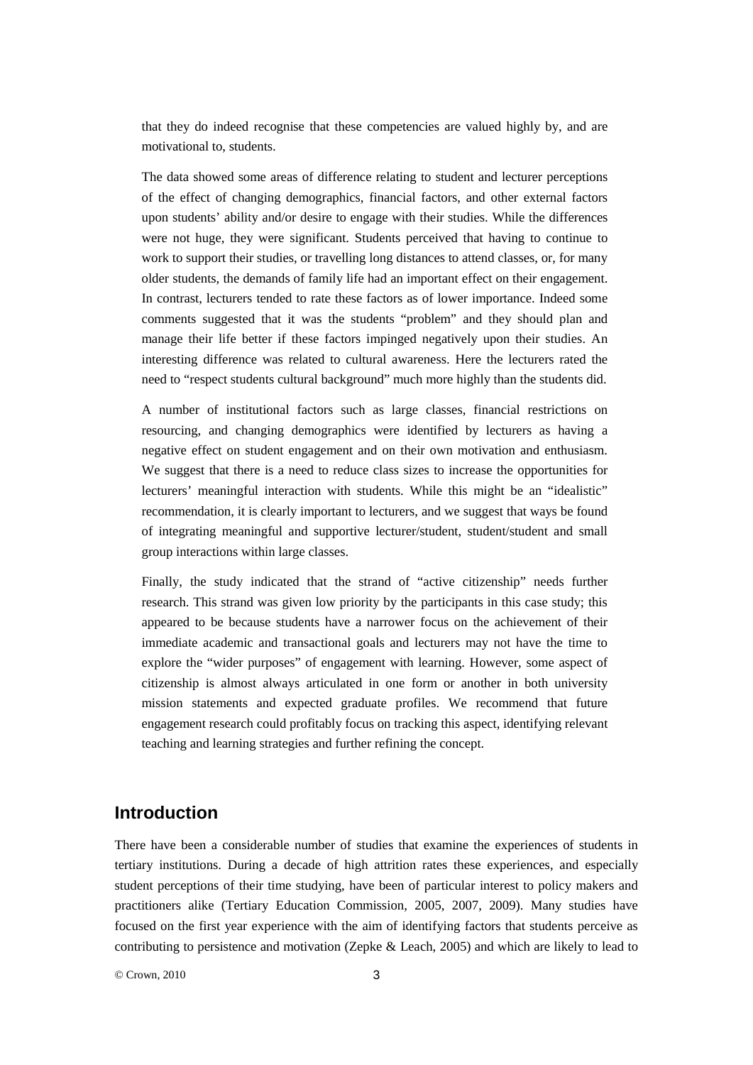that they do indeed recognise that these competencies are valued highly by, and are motivational to, students.

The data showed some areas of difference relating to student and lecturer perceptions of the effect of changing demographics, financial factors, and other external factors upon students' ability and/or desire to engage with their studies. While the differences were not huge, they were significant. Students perceived that having to continue to work to support their studies, or travelling long distances to attend classes, or, for many older students, the demands of family life had an important effect on their engagement. In contrast, lecturers tended to rate these factors as of lower importance. Indeed some comments suggested that it was the students "problem" and they should plan and manage their life better if these factors impinged negatively upon their studies. An interesting difference was related to cultural awareness. Here the lecturers rated the need to "respect students cultural background" much more highly than the students did.

A number of institutional factors such as large classes, financial restrictions on resourcing, and changing demographics were identified by lecturers as having a negative effect on student engagement and on their own motivation and enthusiasm. We suggest that there is a need to reduce class sizes to increase the opportunities for lecturers' meaningful interaction with students. While this might be an "idealistic" recommendation, it is clearly important to lecturers, and we suggest that ways be found of integrating meaningful and supportive lecturer/student, student/student and small group interactions within large classes.

Finally, the study indicated that the strand of "active citizenship" needs further research. This strand was given low priority by the participants in this case study; this appeared to be because students have a narrower focus on the achievement of their immediate academic and transactional goals and lecturers may not have the time to explore the "wider purposes" of engagement with learning. However, some aspect of citizenship is almost always articulated in one form or another in both university mission statements and expected graduate profiles. We recommend that future engagement research could profitably focus on tracking this aspect, identifying relevant teaching and learning strategies and further refining the concept.

# **Introduction**

There have been a considerable number of studies that examine the experiences of students in tertiary institutions. During a decade of high attrition rates these experiences, and especially student perceptions of their time studying, have been of particular interest to policy makers and practitioners alike (Tertiary Education Commission, 2005, 2007, 2009). Many studies have focused on the first year experience with the aim of identifying factors that students perceive as contributing to persistence and motivation (Zepke & Leach, 2005) and which are likely to lead to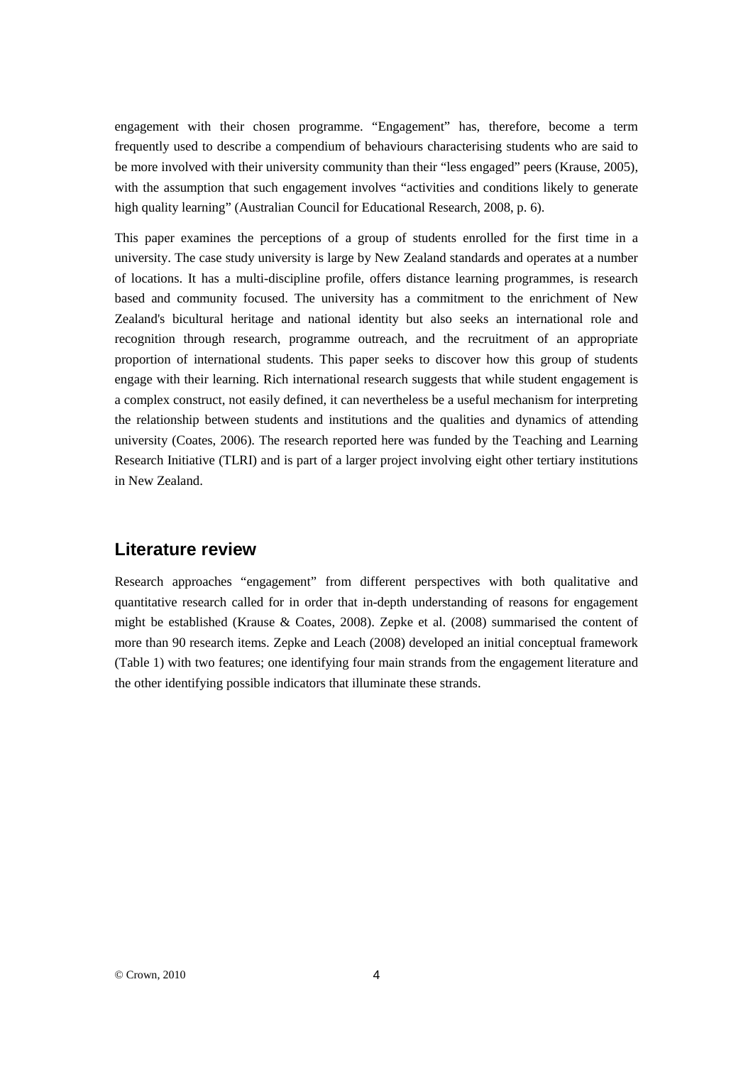engagement with their chosen programme. "Engagement" has, therefore, become a term frequently used to describe a compendium of behaviours characterising students who are said to be more involved with their university community than their "less engaged" peers (Krause, 2005), with the assumption that such engagement involves "activities and conditions likely to generate high quality learning" (Australian Council for Educational Research, 2008, p. 6).

This paper examines the perceptions of a group of students enrolled for the first time in a university. The case study university is large by New Zealand standards and operates at a number of locations. It has a multi-discipline profile, offers distance learning programmes, is research based and community focused. The university has a commitment to the enrichment of New Zealand's bicultural heritage and national identity but also seeks an international role and recognition through research, programme outreach, and the recruitment of an appropriate proportion of international students. This paper seeks to discover how this group of students engage with their learning. Rich international research suggests that while student engagement is a complex construct, not easily defined, it can nevertheless be a useful mechanism for interpreting the relationship between students and institutions and the qualities and dynamics of attending university (Coates, 2006). The research reported here was funded by the Teaching and Learning Research Initiative (TLRI) and is part of a larger project involving eight other tertiary institutions in New Zealand.

# **Literature review**

Research approaches "engagement" from different perspectives with both qualitative and quantitative research called for in order that in-depth understanding of reasons for engagement might be established (Krause & Coates, 2008). Zepke et al. (2008) summarised the content of more than 90 research items. Zepke and Leach (2008) developed an initial conceptual framework (Table 1) with two features; one identifying four main strands from the engagement literature and the other identifying possible indicators that illuminate these strands.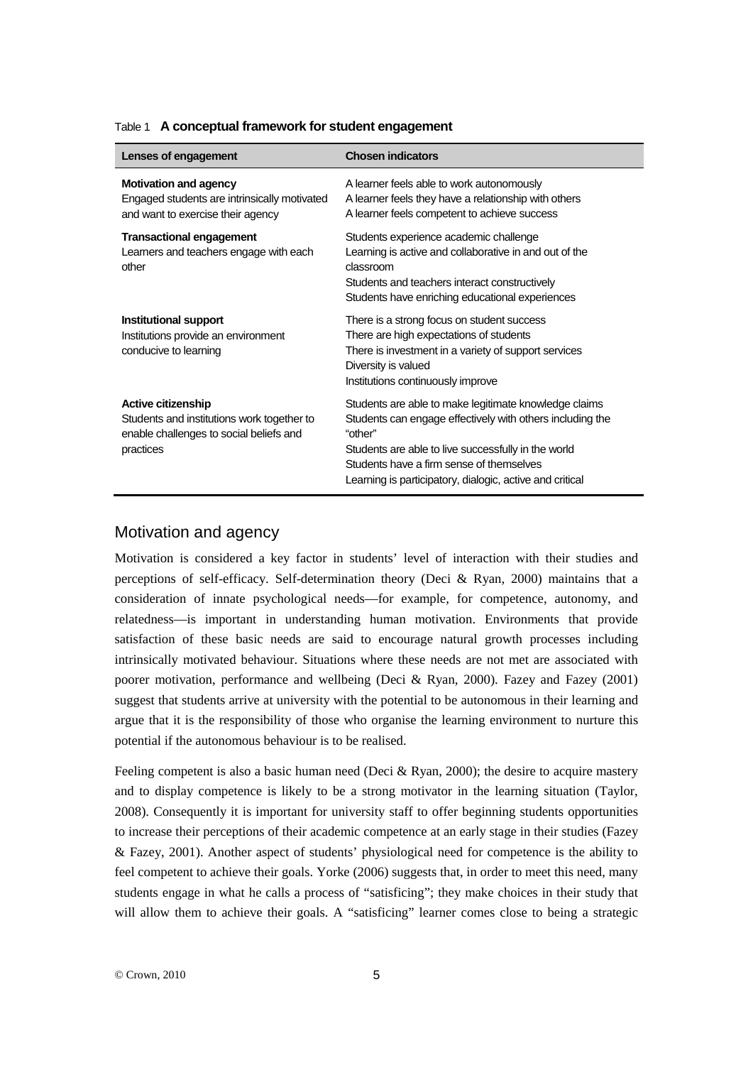| Lenses of engagement                                                                                                            | <b>Chosen indicators</b>                                                                                                                                                                                                                                                                     |
|---------------------------------------------------------------------------------------------------------------------------------|----------------------------------------------------------------------------------------------------------------------------------------------------------------------------------------------------------------------------------------------------------------------------------------------|
| <b>Motivation and agency</b><br>Engaged students are intrinsically motivated<br>and want to exercise their agency               | A learner feels able to work autonomously<br>A learner feels they have a relationship with others<br>A learner feels competent to achieve success                                                                                                                                            |
| <b>Transactional engagement</b><br>Learners and teachers engage with each<br>other                                              | Students experience academic challenge<br>Learning is active and collaborative in and out of the<br>classroom<br>Students and teachers interact constructively<br>Students have enriching educational experiences                                                                            |
| Institutional support<br>Institutions provide an environment<br>conducive to learning                                           | There is a strong focus on student success<br>There are high expectations of students<br>There is investment in a variety of support services<br>Diversity is valued<br>Institutions continuously improve                                                                                    |
| <b>Active citizenship</b><br>Students and institutions work together to<br>enable challenges to social beliefs and<br>practices | Students are able to make legitimate knowledge claims<br>Students can engage effectively with others including the<br>"other"<br>Students are able to live successfully in the world<br>Students have a firm sense of themselves<br>Learning is participatory, dialogic, active and critical |

#### Table 1 **A conceptual framework for student engagement**

## Motivation and agency

Motivation is considered a key factor in students' level of interaction with their studies and perceptions of self-efficacy. Self-determination theory (Deci & Ryan, 2000) maintains that a consideration of innate psychological needs—for example, for competence, autonomy, and relatedness—is important in understanding human motivation. Environments that provide satisfaction of these basic needs are said to encourage natural growth processes including intrinsically motivated behaviour. Situations where these needs are not met are associated with poorer motivation, performance and wellbeing (Deci & Ryan, 2000). Fazey and Fazey (2001) suggest that students arrive at university with the potential to be autonomous in their learning and argue that it is the responsibility of those who organise the learning environment to nurture this potential if the autonomous behaviour is to be realised.

Feeling competent is also a basic human need (Deci & Ryan, 2000); the desire to acquire mastery and to display competence is likely to be a strong motivator in the learning situation (Taylor, 2008). Consequently it is important for university staff to offer beginning students opportunities to increase their perceptions of their academic competence at an early stage in their studies (Fazey & Fazey, 2001). Another aspect of students' physiological need for competence is the ability to feel competent to achieve their goals. Yorke (2006) suggests that, in order to meet this need, many students engage in what he calls a process of "satisficing"; they make choices in their study that will allow them to achieve their goals. A "satisficing" learner comes close to being a strategic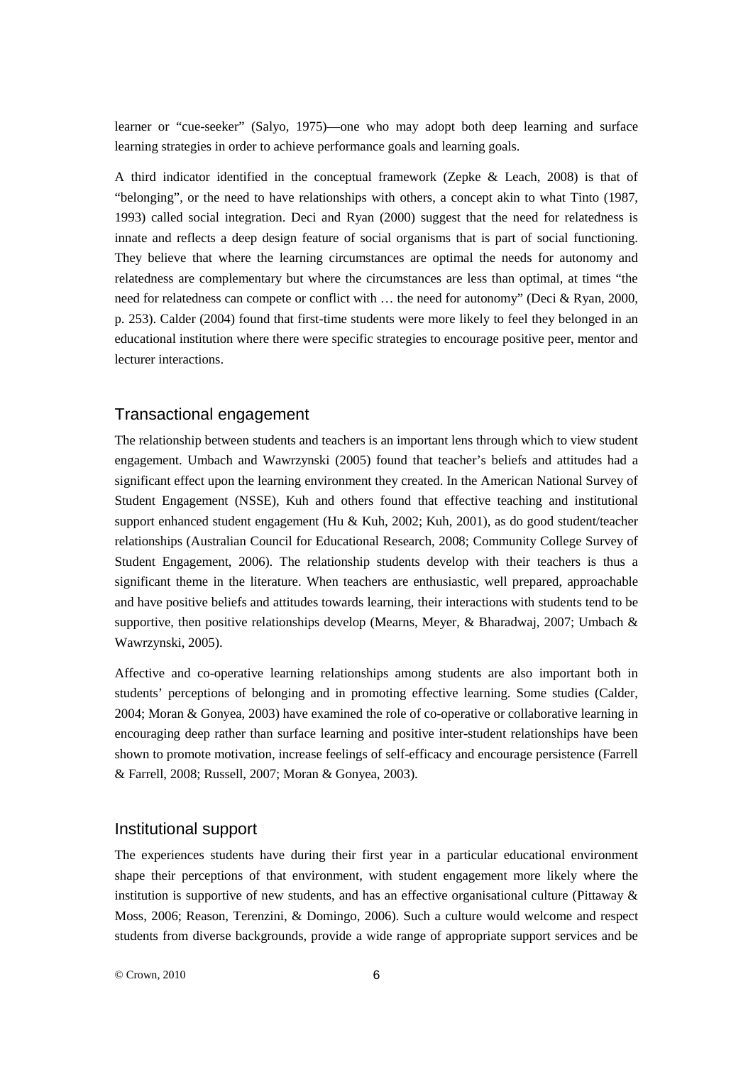learner or "cue-seeker" (Salyo, 1975)—one who may adopt both deep learning and surface learning strategies in order to achieve performance goals and learning goals.

A third indicator identified in the conceptual framework (Zepke & Leach, 2008) is that of "belonging", or the need to have relationships with others, a concept akin to what Tinto (1987, 1993) called social integration. Deci and Ryan (2000) suggest that the need for relatedness is innate and reflects a deep design feature of social organisms that is part of social functioning. They believe that where the learning circumstances are optimal the needs for autonomy and relatedness are complementary but where the circumstances are less than optimal, at times "the need for relatedness can compete or conflict with … the need for autonomy" (Deci & Ryan, 2000, p. 253). Calder (2004) found that first-time students were more likely to feel they belonged in an educational institution where there were specific strategies to encourage positive peer, mentor and lecturer interactions.

## Transactional engagement

The relationship between students and teachers is an important lens through which to view student engagement. Umbach and Wawrzynski (2005) found that teacher's beliefs and attitudes had a significant effect upon the learning environment they created. In the American National Survey of Student Engagement (NSSE), Kuh and others found that effective teaching and institutional support enhanced student engagement (Hu & Kuh, 2002; Kuh, 2001), as do good student/teacher relationships (Australian Council for Educational Research, 2008; Community College Survey of Student Engagement, 2006). The relationship students develop with their teachers is thus a significant theme in the literature. When teachers are enthusiastic, well prepared, approachable and have positive beliefs and attitudes towards learning, their interactions with students tend to be supportive, then positive relationships develop (Mearns, Meyer, & Bharadwaj, 2007; Umbach & Wawrzynski, 2005).

Affective and co-operative learning relationships among students are also important both in students' perceptions of belonging and in promoting effective learning. Some studies (Calder, 2004; Moran & Gonyea, 2003) have examined the role of co-operative or collaborative learning in encouraging deep rather than surface learning and positive inter-student relationships have been shown to promote motivation, increase feelings of self-efficacy and encourage persistence (Farrell & Farrell, 2008; Russell, 2007; Moran & Gonyea, 2003).

#### Institutional support

The experiences students have during their first year in a particular educational environment shape their perceptions of that environment, with student engagement more likely where the institution is supportive of new students, and has an effective organisational culture (Pittaway & Moss, 2006; Reason, Terenzini, & Domingo, 2006). Such a culture would welcome and respect students from diverse backgrounds, provide a wide range of appropriate support services and be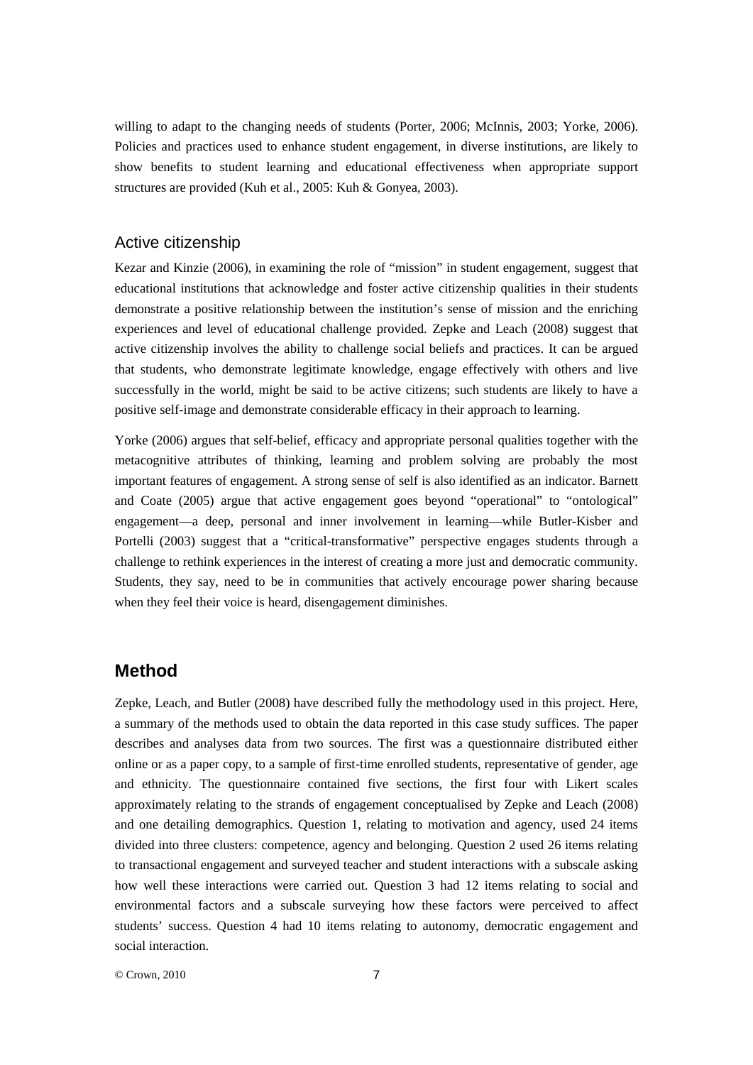willing to adapt to the changing needs of students (Porter, 2006; McInnis, 2003; Yorke, 2006). Policies and practices used to enhance student engagement, in diverse institutions, are likely to show benefits to student learning and educational effectiveness when appropriate support structures are provided (Kuh et al., 2005: Kuh & Gonyea, 2003).

## Active citizenship

Kezar and Kinzie (2006), in examining the role of "mission" in student engagement, suggest that educational institutions that acknowledge and foster active citizenship qualities in their students demonstrate a positive relationship between the institution's sense of mission and the enriching experiences and level of educational challenge provided. Zepke and Leach (2008) suggest that active citizenship involves the ability to challenge social beliefs and practices. It can be argued that students, who demonstrate legitimate knowledge, engage effectively with others and live successfully in the world, might be said to be active citizens; such students are likely to have a positive self-image and demonstrate considerable efficacy in their approach to learning.

Yorke (2006) argues that self-belief, efficacy and appropriate personal qualities together with the metacognitive attributes of thinking, learning and problem solving are probably the most important features of engagement. A strong sense of self is also identified as an indicator. Barnett and Coate (2005) argue that active engagement goes beyond "operational" to "ontological" engagement—a deep, personal and inner involvement in learning—while Butler-Kisber and Portelli (2003) suggest that a "critical-transformative" perspective engages students through a challenge to rethink experiences in the interest of creating a more just and democratic community. Students, they say, need to be in communities that actively encourage power sharing because when they feel their voice is heard, disengagement diminishes.

## **Method**

Zepke, Leach, and Butler (2008) have described fully the methodology used in this project. Here, a summary of the methods used to obtain the data reported in this case study suffices. The paper describes and analyses data from two sources. The first was a questionnaire distributed either online or as a paper copy, to a sample of first-time enrolled students, representative of gender, age and ethnicity. The questionnaire contained five sections, the first four with Likert scales approximately relating to the strands of engagement conceptualised by Zepke and Leach (2008) and one detailing demographics. Question 1, relating to motivation and agency, used 24 items divided into three clusters: competence, agency and belonging. Question 2 used 26 items relating to transactional engagement and surveyed teacher and student interactions with a subscale asking how well these interactions were carried out. Question 3 had 12 items relating to social and environmental factors and a subscale surveying how these factors were perceived to affect students' success. Question 4 had 10 items relating to autonomy, democratic engagement and social interaction.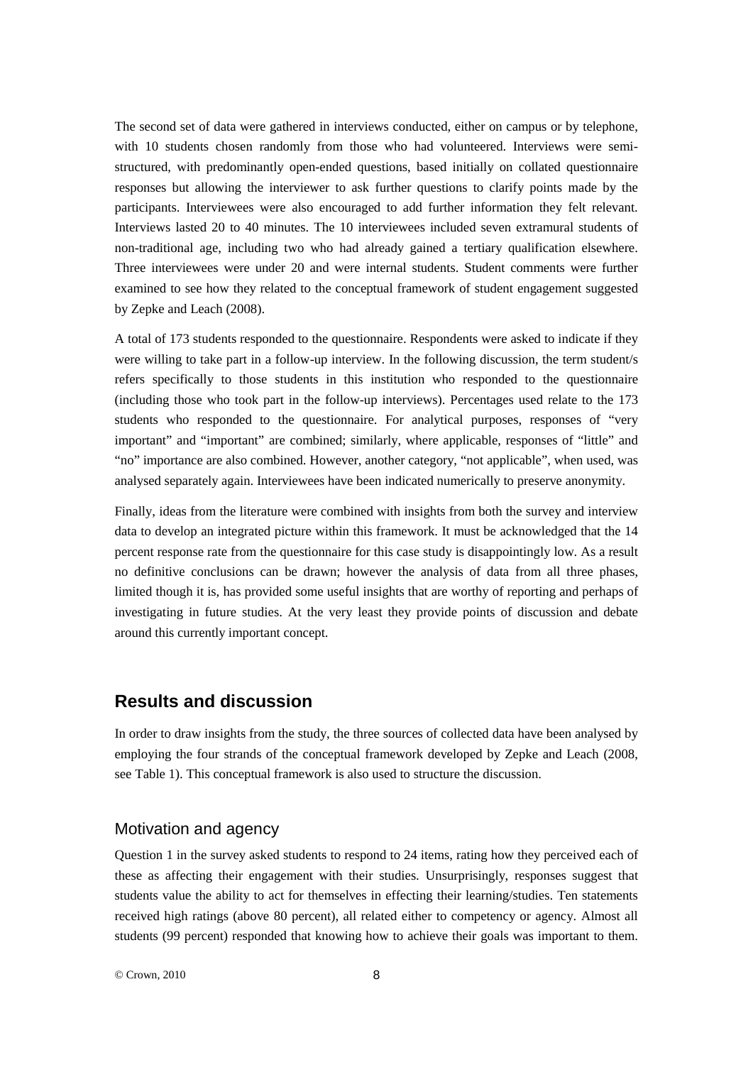The second set of data were gathered in interviews conducted, either on campus or by telephone, with 10 students chosen randomly from those who had volunteered. Interviews were semistructured, with predominantly open-ended questions, based initially on collated questionnaire responses but allowing the interviewer to ask further questions to clarify points made by the participants. Interviewees were also encouraged to add further information they felt relevant. Interviews lasted 20 to 40 minutes. The 10 interviewees included seven extramural students of non-traditional age, including two who had already gained a tertiary qualification elsewhere. Three interviewees were under 20 and were internal students. Student comments were further examined to see how they related to the conceptual framework of student engagement suggested by Zepke and Leach (2008).

A total of 173 students responded to the questionnaire. Respondents were asked to indicate if they were willing to take part in a follow-up interview. In the following discussion, the term student/s refers specifically to those students in this institution who responded to the questionnaire (including those who took part in the follow-up interviews). Percentages used relate to the 173 students who responded to the questionnaire. For analytical purposes, responses of "very important" and "important" are combined; similarly, where applicable, responses of "little" and "no" importance are also combined. However, another category, "not applicable", when used, was analysed separately again. Interviewees have been indicated numerically to preserve anonymity.

Finally, ideas from the literature were combined with insights from both the survey and interview data to develop an integrated picture within this framework. It must be acknowledged that the 14 percent response rate from the questionnaire for this case study is disappointingly low. As a result no definitive conclusions can be drawn; however the analysis of data from all three phases, limited though it is, has provided some useful insights that are worthy of reporting and perhaps of investigating in future studies. At the very least they provide points of discussion and debate around this currently important concept.

# **Results and discussion**

In order to draw insights from the study, the three sources of collected data have been analysed by employing the four strands of the conceptual framework developed by Zepke and Leach (2008, see Table 1). This conceptual framework is also used to structure the discussion.

#### Motivation and agency

Question 1 in the survey asked students to respond to 24 items, rating how they perceived each of these as affecting their engagement with their studies. Unsurprisingly, responses suggest that students value the ability to act for themselves in effecting their learning/studies. Ten statements received high ratings (above 80 percent), all related either to competency or agency. Almost all students (99 percent) responded that knowing how to achieve their goals was important to them.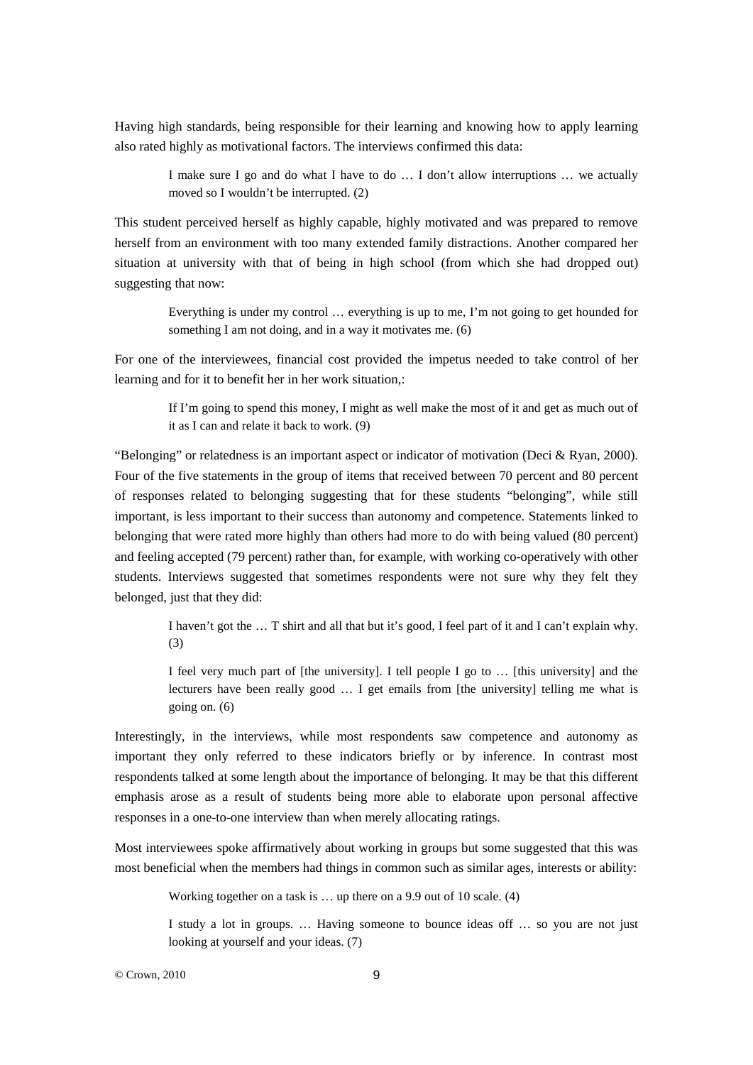Having high standards, being responsible for their learning and knowing how to apply learning also rated highly as motivational factors. The interviews confirmed this data:

> I make sure I go and do what I have to do … I don't allow interruptions … we actually moved so I wouldn't be interrupted. (2)

This student perceived herself as highly capable, highly motivated and was prepared to remove herself from an environment with too many extended family distractions. Another compared her situation at university with that of being in high school (from which she had dropped out) suggesting that now:

> Everything is under my control … everything is up to me, I'm not going to get hounded for something I am not doing, and in a way it motivates me. (6)

For one of the interviewees, financial cost provided the impetus needed to take control of her learning and for it to benefit her in her work situation,:

> If I'm going to spend this money, I might as well make the most of it and get as much out of it as I can and relate it back to work. (9)

"Belonging" or relatedness is an important aspect or indicator of motivation (Deci & Ryan, 2000). Four of the five statements in the group of items that received between 70 percent and 80 percent of responses related to belonging suggesting that for these students "belonging", while still important, is less important to their success than autonomy and competence. Statements linked to belonging that were rated more highly than others had more to do with being valued (80 percent) and feeling accepted (79 percent) rather than, for example, with working co-operatively with other students. Interviews suggested that sometimes respondents were not sure why they felt they belonged, just that they did:

> I haven't got the … T shirt and all that but it's good, I feel part of it and I can't explain why. (3)

> I feel very much part of [the university]. I tell people I go to … [this university] and the lecturers have been really good … I get emails from [the university] telling me what is going on. (6)

Interestingly, in the interviews, while most respondents saw competence and autonomy as important they only referred to these indicators briefly or by inference. In contrast most respondents talked at some length about the importance of belonging. It may be that this different emphasis arose as a result of students being more able to elaborate upon personal affective responses in a one-to-one interview than when merely allocating ratings.

Most interviewees spoke affirmatively about working in groups but some suggested that this was most beneficial when the members had things in common such as similar ages, interests or ability:

Working together on a task is … up there on a 9.9 out of 10 scale. (4)

I study a lot in groups. … Having someone to bounce ideas off … so you are not just looking at yourself and your ideas. (7)

© Crown, 2010 9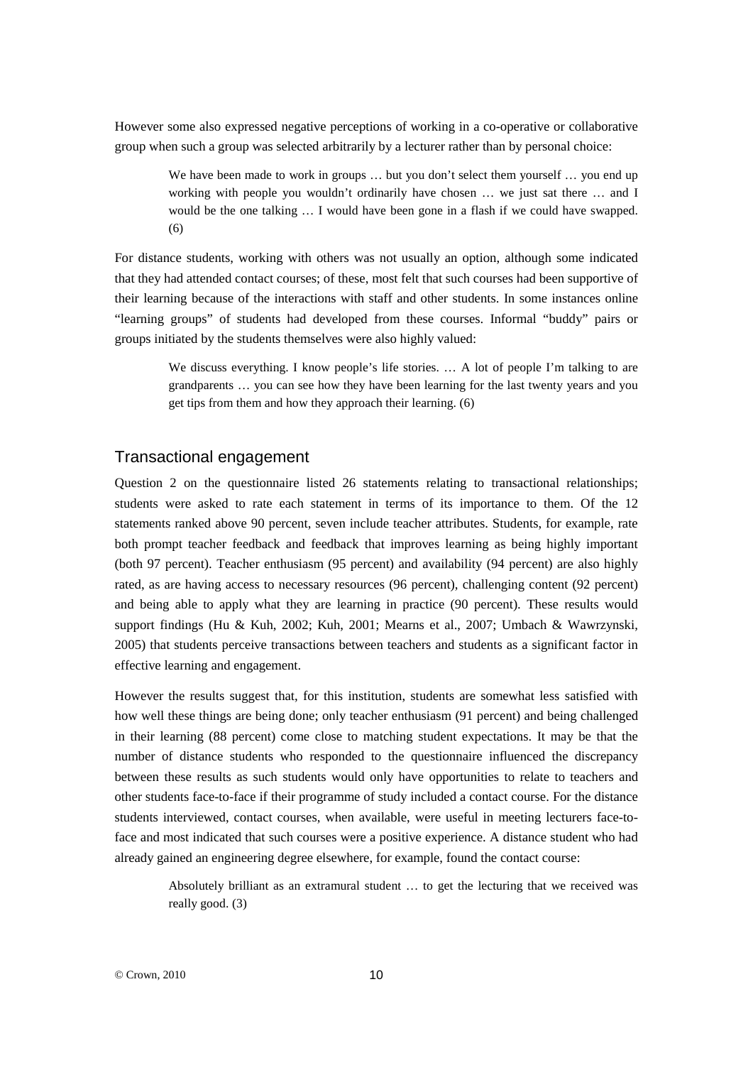However some also expressed negative perceptions of working in a co-operative or collaborative group when such a group was selected arbitrarily by a lecturer rather than by personal choice:

> We have been made to work in groups ... but you don't select them yourself ... you end up working with people you wouldn't ordinarily have chosen … we just sat there … and I would be the one talking … I would have been gone in a flash if we could have swapped. (6)

For distance students, working with others was not usually an option, although some indicated that they had attended contact courses; of these, most felt that such courses had been supportive of their learning because of the interactions with staff and other students. In some instances online "learning groups" of students had developed from these courses. Informal "buddy" pairs or groups initiated by the students themselves were also highly valued:

> We discuss everything. I know people's life stories. ... A lot of people I'm talking to are grandparents … you can see how they have been learning for the last twenty years and you get tips from them and how they approach their learning. (6)

#### Transactional engagement

Question 2 on the questionnaire listed 26 statements relating to transactional relationships; students were asked to rate each statement in terms of its importance to them. Of the 12 statements ranked above 90 percent, seven include teacher attributes. Students, for example, rate both prompt teacher feedback and feedback that improves learning as being highly important (both 97 percent). Teacher enthusiasm (95 percent) and availability (94 percent) are also highly rated, as are having access to necessary resources (96 percent), challenging content (92 percent) and being able to apply what they are learning in practice (90 percent). These results would support findings (Hu & Kuh, 2002; Kuh, 2001; Mearns et al., 2007; Umbach & Wawrzynski, 2005) that students perceive transactions between teachers and students as a significant factor in effective learning and engagement.

However the results suggest that, for this institution, students are somewhat less satisfied with how well these things are being done; only teacher enthusiasm (91 percent) and being challenged in their learning (88 percent) come close to matching student expectations. It may be that the number of distance students who responded to the questionnaire influenced the discrepancy between these results as such students would only have opportunities to relate to teachers and other students face-to-face if their programme of study included a contact course. For the distance students interviewed, contact courses, when available, were useful in meeting lecturers face-toface and most indicated that such courses were a positive experience. A distance student who had already gained an engineering degree elsewhere, for example, found the contact course:

> Absolutely brilliant as an extramural student … to get the lecturing that we received was really good. (3)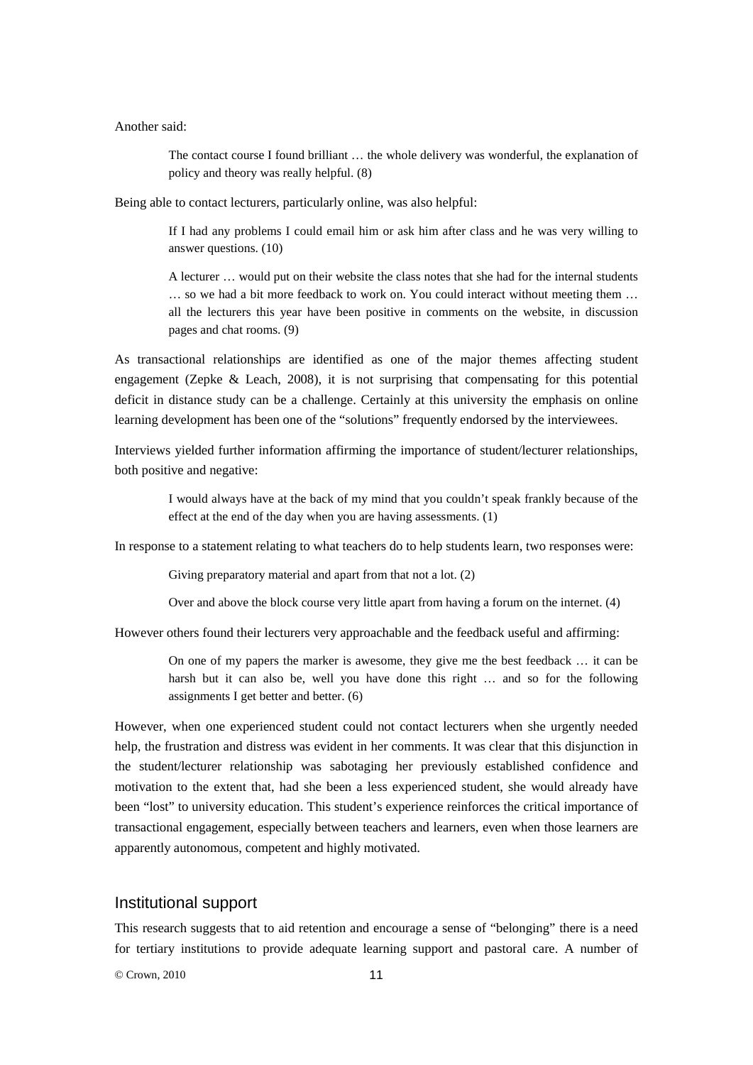Another said:

The contact course I found brilliant … the whole delivery was wonderful, the explanation of policy and theory was really helpful. (8)

Being able to contact lecturers, particularly online, was also helpful:

If I had any problems I could email him or ask him after class and he was very willing to answer questions. (10)

A lecturer … would put on their website the class notes that she had for the internal students … so we had a bit more feedback to work on. You could interact without meeting them … all the lecturers this year have been positive in comments on the website, in discussion pages and chat rooms. (9)

As transactional relationships are identified as one of the major themes affecting student engagement (Zepke & Leach, 2008), it is not surprising that compensating for this potential deficit in distance study can be a challenge. Certainly at this university the emphasis on online learning development has been one of the "solutions" frequently endorsed by the interviewees.

Interviews yielded further information affirming the importance of student/lecturer relationships, both positive and negative:

> I would always have at the back of my mind that you couldn't speak frankly because of the effect at the end of the day when you are having assessments. (1)

In response to a statement relating to what teachers do to help students learn, two responses were:

Giving preparatory material and apart from that not a lot. (2)

Over and above the block course very little apart from having a forum on the internet. (4)

However others found their lecturers very approachable and the feedback useful and affirming:

On one of my papers the marker is awesome, they give me the best feedback … it can be harsh but it can also be, well you have done this right … and so for the following assignments I get better and better. (6)

However, when one experienced student could not contact lecturers when she urgently needed help, the frustration and distress was evident in her comments. It was clear that this disjunction in the student/lecturer relationship was sabotaging her previously established confidence and motivation to the extent that, had she been a less experienced student, she would already have been "lost" to university education. This student's experience reinforces the critical importance of transactional engagement, especially between teachers and learners, even when those learners are apparently autonomous, competent and highly motivated.

#### Institutional support

This research suggests that to aid retention and encourage a sense of "belonging" there is a need for tertiary institutions to provide adequate learning support and pastoral care. A number of

© Crown, 2010 11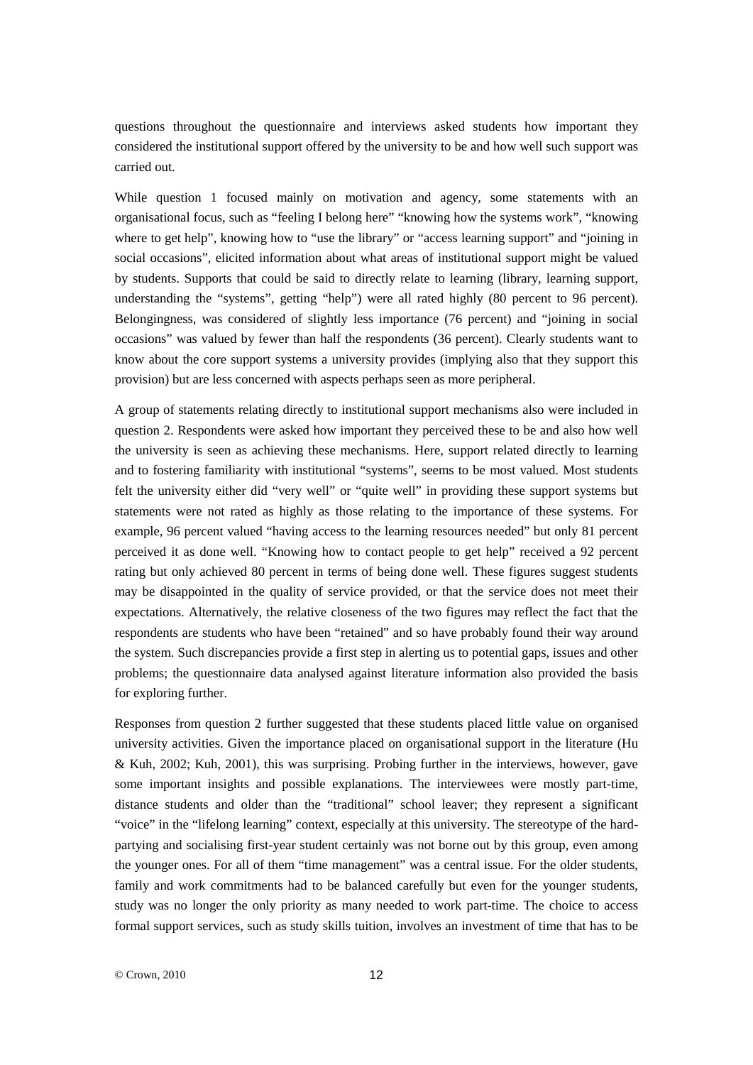questions throughout the questionnaire and interviews asked students how important they considered the institutional support offered by the university to be and how well such support was carried out.

While question 1 focused mainly on motivation and agency, some statements with an organisational focus, such as "feeling I belong here" "knowing how the systems work", "knowing where to get help", knowing how to "use the library" or "access learning support" and "joining in social occasions", elicited information about what areas of institutional support might be valued by students. Supports that could be said to directly relate to learning (library, learning support, understanding the "systems", getting "help") were all rated highly (80 percent to 96 percent). Belongingness, was considered of slightly less importance (76 percent) and "joining in social occasions" was valued by fewer than half the respondents (36 percent). Clearly students want to know about the core support systems a university provides (implying also that they support this provision) but are less concerned with aspects perhaps seen as more peripheral.

A group of statements relating directly to institutional support mechanisms also were included in question 2. Respondents were asked how important they perceived these to be and also how well the university is seen as achieving these mechanisms. Here, support related directly to learning and to fostering familiarity with institutional "systems", seems to be most valued. Most students felt the university either did "very well" or "quite well" in providing these support systems but statements were not rated as highly as those relating to the importance of these systems. For example, 96 percent valued "having access to the learning resources needed" but only 81 percent perceived it as done well. "Knowing how to contact people to get help" received a 92 percent rating but only achieved 80 percent in terms of being done well. These figures suggest students may be disappointed in the quality of service provided, or that the service does not meet their expectations. Alternatively, the relative closeness of the two figures may reflect the fact that the respondents are students who have been "retained" and so have probably found their way around the system. Such discrepancies provide a first step in alerting us to potential gaps, issues and other problems; the questionnaire data analysed against literature information also provided the basis for exploring further.

Responses from question 2 further suggested that these students placed little value on organised university activities. Given the importance placed on organisational support in the literature (Hu & Kuh, 2002; Kuh, 2001), this was surprising. Probing further in the interviews, however, gave some important insights and possible explanations. The interviewees were mostly part-time, distance students and older than the "traditional" school leaver; they represent a significant "voice" in the "lifelong learning" context, especially at this university. The stereotype of the hardpartying and socialising first-year student certainly was not borne out by this group, even among the younger ones. For all of them "time management" was a central issue. For the older students, family and work commitments had to be balanced carefully but even for the younger students, study was no longer the only priority as many needed to work part-time. The choice to access formal support services, such as study skills tuition, involves an investment of time that has to be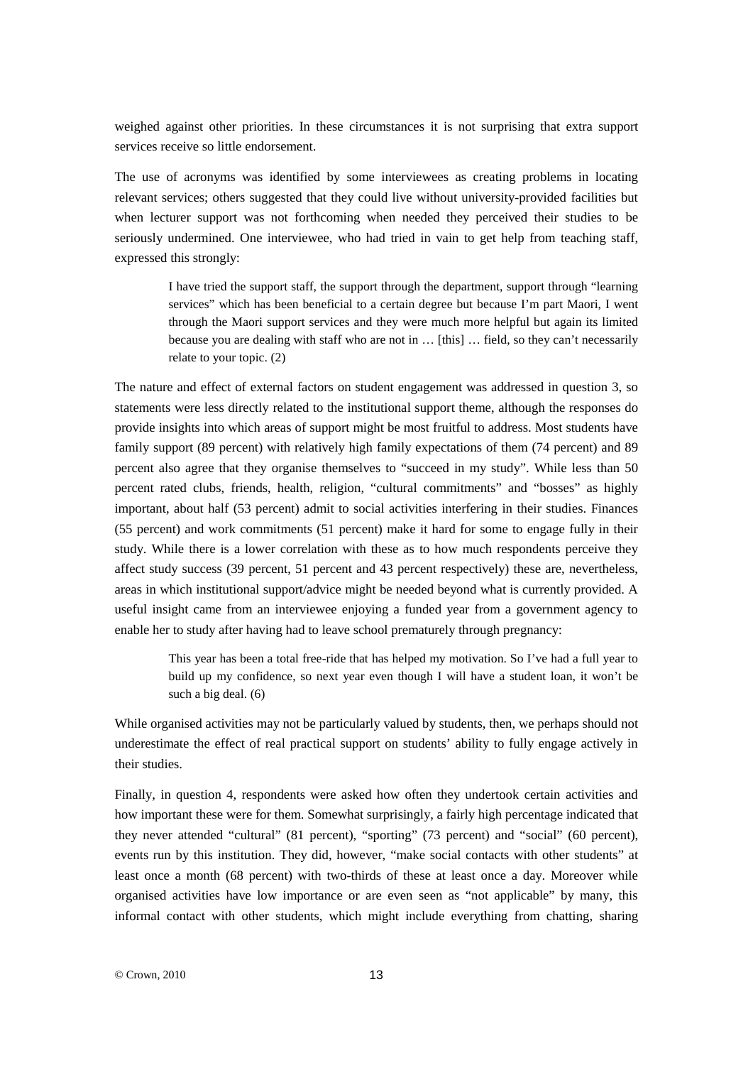weighed against other priorities. In these circumstances it is not surprising that extra support services receive so little endorsement.

The use of acronyms was identified by some interviewees as creating problems in locating relevant services; others suggested that they could live without university-provided facilities but when lecturer support was not forthcoming when needed they perceived their studies to be seriously undermined. One interviewee, who had tried in vain to get help from teaching staff, expressed this strongly:

> I have tried the support staff, the support through the department, support through "learning services" which has been beneficial to a certain degree but because I'm part Maori, I went through the Maori support services and they were much more helpful but again its limited because you are dealing with staff who are not in … [this] … field, so they can't necessarily relate to your topic. (2)

The nature and effect of external factors on student engagement was addressed in question 3, so statements were less directly related to the institutional support theme, although the responses do provide insights into which areas of support might be most fruitful to address. Most students have family support (89 percent) with relatively high family expectations of them (74 percent) and 89 percent also agree that they organise themselves to "succeed in my study". While less than 50 percent rated clubs, friends, health, religion, "cultural commitments" and "bosses" as highly important, about half (53 percent) admit to social activities interfering in their studies. Finances (55 percent) and work commitments (51 percent) make it hard for some to engage fully in their study. While there is a lower correlation with these as to how much respondents perceive they affect study success (39 percent, 51 percent and 43 percent respectively) these are, nevertheless, areas in which institutional support/advice might be needed beyond what is currently provided. A useful insight came from an interviewee enjoying a funded year from a government agency to enable her to study after having had to leave school prematurely through pregnancy:

> This year has been a total free-ride that has helped my motivation. So I've had a full year to build up my confidence, so next year even though I will have a student loan, it won't be such a big deal. (6)

While organised activities may not be particularly valued by students, then, we perhaps should not underestimate the effect of real practical support on students' ability to fully engage actively in their studies.

Finally, in question 4, respondents were asked how often they undertook certain activities and how important these were for them. Somewhat surprisingly, a fairly high percentage indicated that they never attended "cultural" (81 percent), "sporting" (73 percent) and "social" (60 percent), events run by this institution. They did, however, "make social contacts with other students" at least once a month (68 percent) with two-thirds of these at least once a day. Moreover while organised activities have low importance or are even seen as "not applicable" by many, this informal contact with other students, which might include everything from chatting, sharing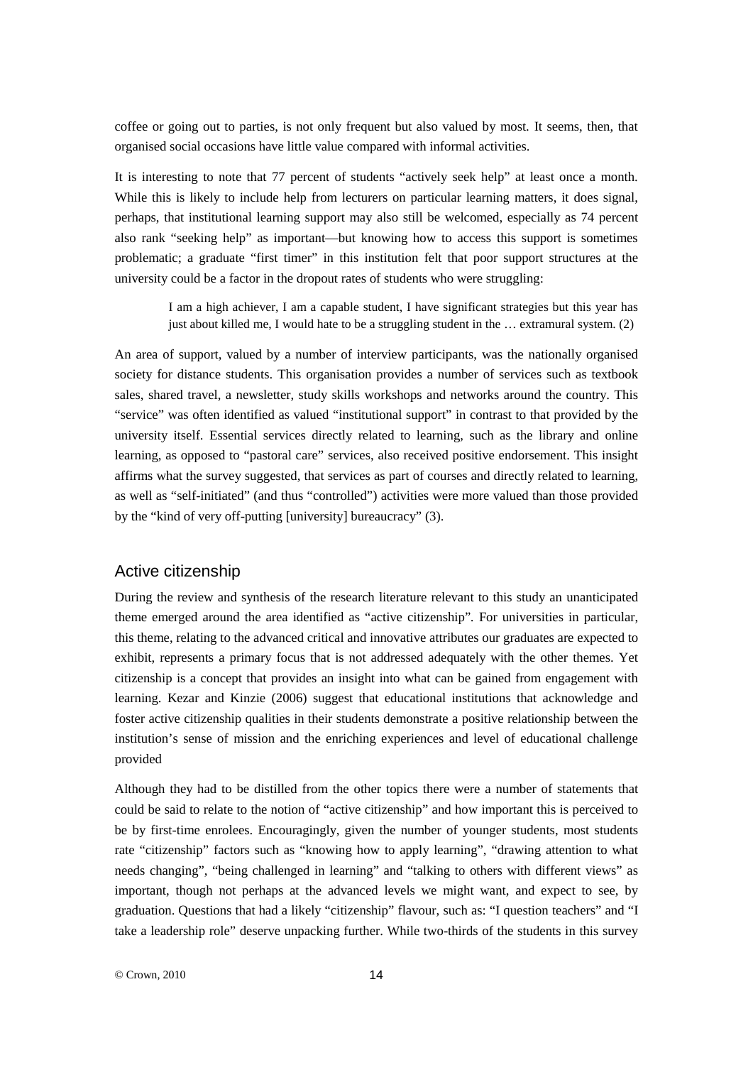coffee or going out to parties, is not only frequent but also valued by most. It seems, then, that organised social occasions have little value compared with informal activities.

It is interesting to note that 77 percent of students "actively seek help" at least once a month. While this is likely to include help from lecturers on particular learning matters, it does signal, perhaps, that institutional learning support may also still be welcomed, especially as 74 percent also rank "seeking help" as important—but knowing how to access this support is sometimes problematic; a graduate "first timer" in this institution felt that poor support structures at the university could be a factor in the dropout rates of students who were struggling:

> I am a high achiever, I am a capable student, I have significant strategies but this year has just about killed me, I would hate to be a struggling student in the … extramural system. (2)

An area of support, valued by a number of interview participants, was the nationally organised society for distance students. This organisation provides a number of services such as textbook sales, shared travel, a newsletter, study skills workshops and networks around the country. This "service" was often identified as valued "institutional support" in contrast to that provided by the university itself. Essential services directly related to learning, such as the library and online learning, as opposed to "pastoral care" services, also received positive endorsement. This insight affirms what the survey suggested, that services as part of courses and directly related to learning, as well as "self-initiated" (and thus "controlled") activities were more valued than those provided by the "kind of very off-putting [university] bureaucracy" (3).

#### Active citizenship

During the review and synthesis of the research literature relevant to this study an unanticipated theme emerged around the area identified as "active citizenship"*.* For universities in particular, this theme, relating to the advanced critical and innovative attributes our graduates are expected to exhibit, represents a primary focus that is not addressed adequately with the other themes. Yet citizenship is a concept that provides an insight into what can be gained from engagement with learning. Kezar and Kinzie (2006) suggest that educational institutions that acknowledge and foster active citizenship qualities in their students demonstrate a positive relationship between the institution's sense of mission and the enriching experiences and level of educational challenge provided

Although they had to be distilled from the other topics there were a number of statements that could be said to relate to the notion of "active citizenship" and how important this is perceived to be by first-time enrolees. Encouragingly, given the number of younger students, most students rate "citizenship" factors such as "knowing how to apply learning", "drawing attention to what needs changing", "being challenged in learning" and "talking to others with different views" as important, though not perhaps at the advanced levels we might want, and expect to see, by graduation. Questions that had a likely "citizenship" flavour, such as: "I question teachers" and "I take a leadership role" deserve unpacking further. While two-thirds of the students in this survey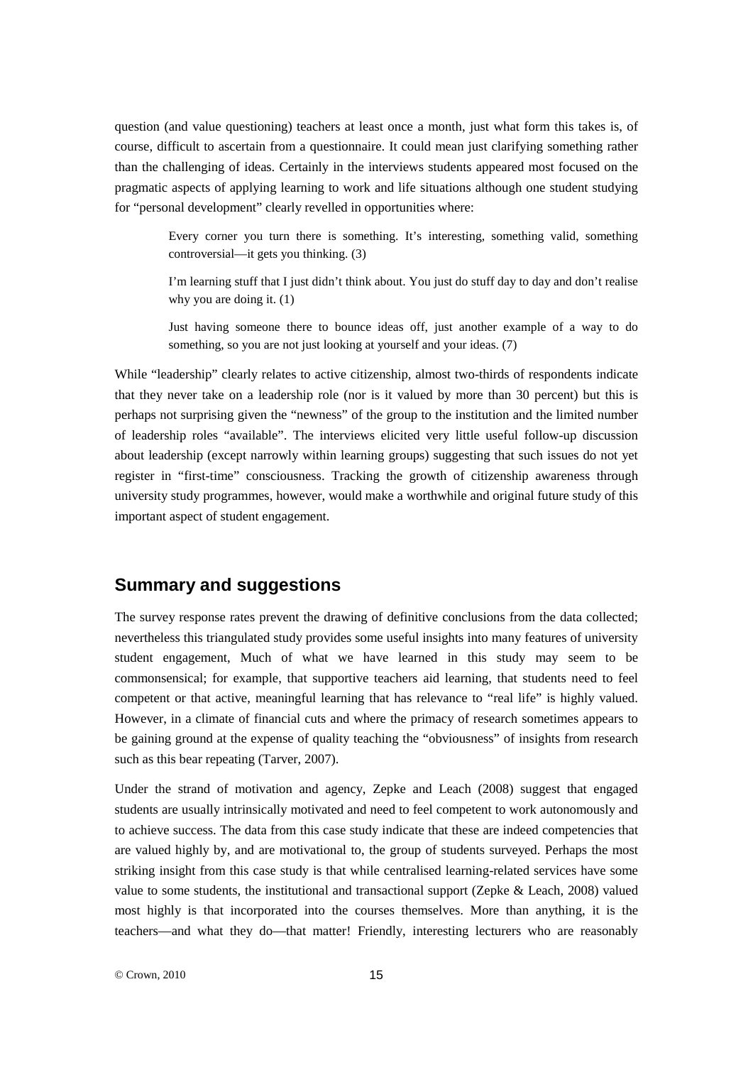question (and value questioning) teachers at least once a month, just what form this takes is, of course, difficult to ascertain from a questionnaire. It could mean just clarifying something rather than the challenging of ideas. Certainly in the interviews students appeared most focused on the pragmatic aspects of applying learning to work and life situations although one student studying for "personal development" clearly revelled in opportunities where:

> Every corner you turn there is something. It's interesting, something valid, something controversial—it gets you thinking. (3)

> I'm learning stuff that I just didn't think about. You just do stuff day to day and don't realise why you are doing it.  $(1)$

> Just having someone there to bounce ideas off, just another example of a way to do something, so you are not just looking at yourself and your ideas. (7)

While "leadership" clearly relates to active citizenship, almost two-thirds of respondents indicate that they never take on a leadership role (nor is it valued by more than 30 percent) but this is perhaps not surprising given the "newness" of the group to the institution and the limited number of leadership roles "available". The interviews elicited very little useful follow-up discussion about leadership (except narrowly within learning groups) suggesting that such issues do not yet register in "first-time" consciousness. Tracking the growth of citizenship awareness through university study programmes, however, would make a worthwhile and original future study of this important aspect of student engagement.

# **Summary and suggestions**

The survey response rates prevent the drawing of definitive conclusions from the data collected; nevertheless this triangulated study provides some useful insights into many features of university student engagement, Much of what we have learned in this study may seem to be commonsensical; for example, that supportive teachers aid learning, that students need to feel competent or that active, meaningful learning that has relevance to "real life" is highly valued. However, in a climate of financial cuts and where the primacy of research sometimes appears to be gaining ground at the expense of quality teaching the "obviousness" of insights from research such as this bear repeating (Tarver, 2007).

Under the strand of motivation and agency, Zepke and Leach (2008) suggest that engaged students are usually intrinsically motivated and need to feel competent to work autonomously and to achieve success. The data from this case study indicate that these are indeed competencies that are valued highly by, and are motivational to, the group of students surveyed. Perhaps the most striking insight from this case study is that while centralised learning-related services have some value to some students, the institutional and transactional support (Zepke & Leach, 2008) valued most highly is that incorporated into the courses themselves. More than anything, it is the teachers—and what they do—that matter! Friendly, interesting lecturers who are reasonably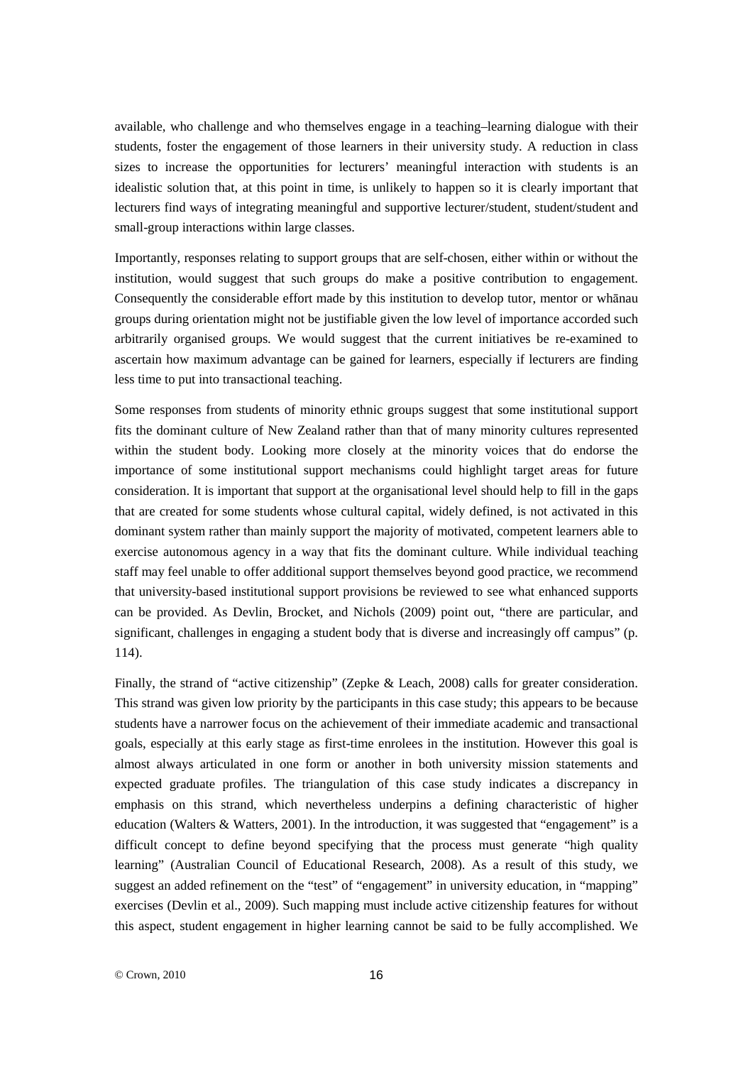available, who challenge and who themselves engage in a teaching–learning dialogue with their students, foster the engagement of those learners in their university study. A reduction in class sizes to increase the opportunities for lecturers' meaningful interaction with students is an idealistic solution that, at this point in time, is unlikely to happen so it is clearly important that lecturers find ways of integrating meaningful and supportive lecturer/student, student/student and small-group interactions within large classes.

Importantly, responses relating to support groups that are self-chosen, either within or without the institution, would suggest that such groups do make a positive contribution to engagement. Consequently the considerable effort made by this institution to develop tutor, mentor or whānau groups during orientation might not be justifiable given the low level of importance accorded such arbitrarily organised groups. We would suggest that the current initiatives be re-examined to ascertain how maximum advantage can be gained for learners, especially if lecturers are finding less time to put into transactional teaching.

Some responses from students of minority ethnic groups suggest that some institutional support fits the dominant culture of New Zealand rather than that of many minority cultures represented within the student body. Looking more closely at the minority voices that do endorse the importance of some institutional support mechanisms could highlight target areas for future consideration. It is important that support at the organisational level should help to fill in the gaps that are created for some students whose cultural capital, widely defined, is not activated in this dominant system rather than mainly support the majority of motivated, competent learners able to exercise autonomous agency in a way that fits the dominant culture. While individual teaching staff may feel unable to offer additional support themselves beyond good practice, we recommend that university-based institutional support provisions be reviewed to see what enhanced supports can be provided. As Devlin, Brocket, and Nichols (2009) point out, "there are particular, and significant, challenges in engaging a student body that is diverse and increasingly off campus" (p. 114).

Finally, the strand of "active citizenship" (Zepke & Leach, 2008) calls for greater consideration. This strand was given low priority by the participants in this case study; this appears to be because students have a narrower focus on the achievement of their immediate academic and transactional goals, especially at this early stage as first-time enrolees in the institution. However this goal is almost always articulated in one form or another in both university mission statements and expected graduate profiles. The triangulation of this case study indicates a discrepancy in emphasis on this strand, which nevertheless underpins a defining characteristic of higher education (Walters & Watters, 2001). In the introduction, it was suggested that "engagement" is a difficult concept to define beyond specifying that the process must generate "high quality learning" (Australian Council of Educational Research, 2008). As a result of this study, we suggest an added refinement on the "test" of "engagement" in university education, in "mapping" exercises (Devlin et al., 2009). Such mapping must include active citizenship features for without this aspect, student engagement in higher learning cannot be said to be fully accomplished. We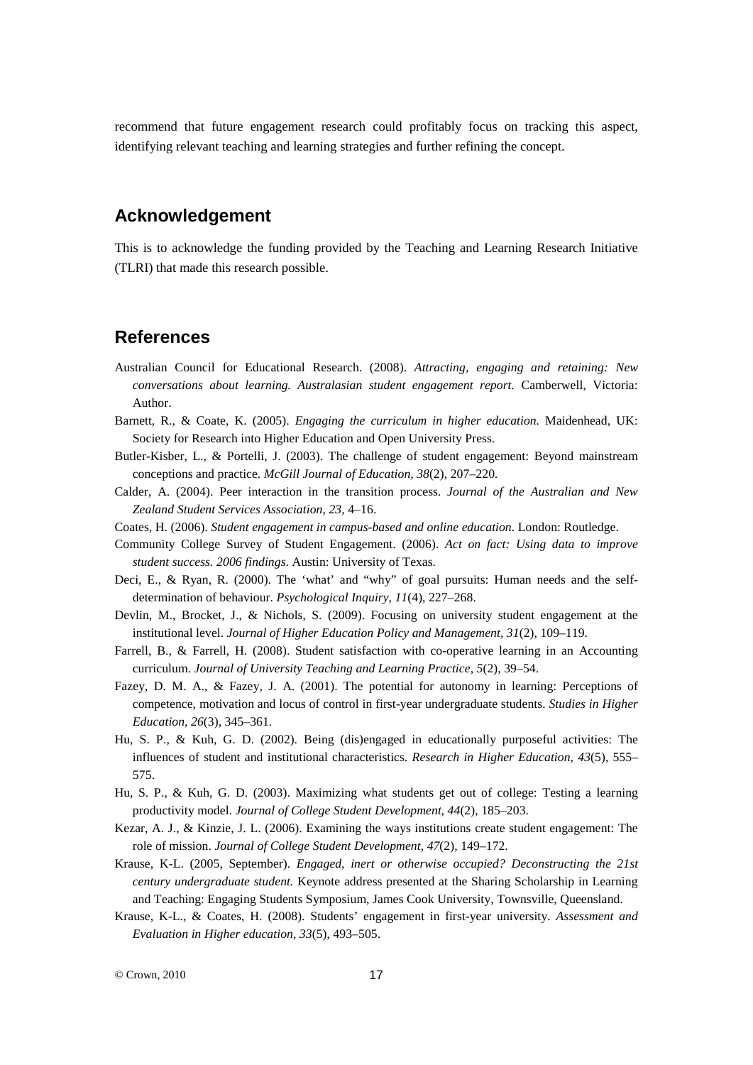recommend that future engagement research could profitably focus on tracking this aspect, identifying relevant teaching and learning strategies and further refining the concept.

# **Acknowledgement**

This is to acknowledge the funding provided by the Teaching and Learning Research Initiative (TLRI) that made this research possible.

## **References**

- Australian Council for Educational Research. (2008). *Attracting, engaging and retaining: New conversations about learning. Australasian student engagement report.* Camberwell, Victoria: Author.
- Barnett, R., & Coate, K. (2005). *Engaging the curriculum in higher education.* Maidenhead, UK: Society for Research into Higher Education and Open University Press.
- Butler-Kisber, L., & Portelli, J. (2003). The challenge of student engagement: Beyond mainstream conceptions and practice*. McGill Journal of Education, 38*(2), 207–220*.*
- Calder, A. (2004). Peer interaction in the transition process. *Journal of the Australian and New Zealand Student Services Association, 23*, 4–16.
- Coates, H. (2006). *Student engagement in campus-based and online education*. London: Routledge.
- Community College Survey of Student Engagement. (2006). *Act on fact: Using data to improve student success. 2006 findings*. Austin: University of Texas.
- Deci, E., & Ryan, R. (2000). The 'what' and "why" of goal pursuits: Human needs and the selfdetermination of behaviour. *Psychological Inquiry*, *11*(4), 227–268.
- Devlin, M., Brocket, J., & Nichols, S. (2009). Focusing on university student engagement at the institutional level. *Journal of Higher Education Policy and Management, 31*(2), 109–119.
- Farrell, B., & Farrell, H. (2008). Student satisfaction with co-operative learning in an Accounting curriculum. *Journal of University Teaching and Learning Practice, 5*(2), 39–54.
- Fazey, D. M. A., & Fazey, J. A. (2001). The potential for autonomy in learning: Perceptions of competence, motivation and locus of control in first-year undergraduate students. *Studies in Higher Education, 26*(3), 345–361.
- Hu, S. P., & Kuh, G. D. (2002). Being (dis)engaged in educationally purposeful activities: The influences of student and institutional characteristics. *Research in Higher Education, 43*(5), 555– 575.
- Hu, S. P., & Kuh, G. D. (2003). Maximizing what students get out of college: Testing a learning productivity model. *Journal of College Student Development, 44*(2), 185–203.
- Kezar, A. J., & Kinzie, J. L. (2006). Examining the ways institutions create student engagement: The role of mission. *Journal of College Student Development, 47*(2), 149–172.
- Krause, K-L. (2005, September). *Engaged, inert or otherwise occupied? Deconstructing the 21st century undergraduate student.* Keynote address presented at the Sharing Scholarship in Learning and Teaching: Engaging Students Symposium, James Cook University, Townsville, Queensland.
- Krause, K-L., & Coates, H. (2008). Students' engagement in first-year university. *Assessment and Evaluation in Higher education, 33*(5), 493–505.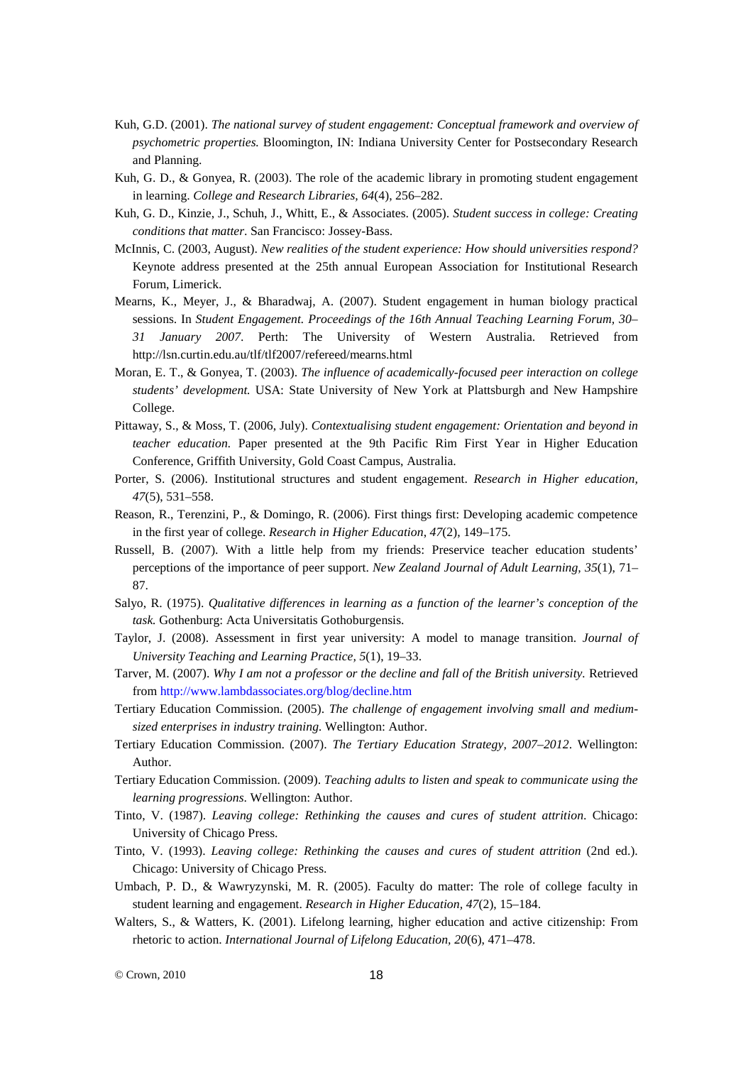- Kuh, G.D. (2001). *The national survey of student engagement: Conceptual framework and overview of psychometric properties.* Bloomington, IN: Indiana University Center for Postsecondary Research and Planning.
- Kuh, G. D., & Gonyea, R. (2003). The role of the academic library in promoting student engagement in learning. *College and Research Libraries, 64*(4), 256–282.
- Kuh, G. D., Kinzie, J., Schuh, J., Whitt, E., & Associates. (2005). *Student success in college: Creating conditions that matter*. San Francisco: Jossey-Bass.
- McInnis, C. (2003, August). *New realities of the student experience: How should universities respond?* Keynote address presented at the 25th annual European Association for Institutional Research Forum, Limerick.
- Mearns, K., Meyer, J., & Bharadwaj, A. (2007). Student engagement in human biology practical sessions. In *Student Engagement. Proceedings of the 16th Annual Teaching Learning Forum, 30– 31 January 2007*. Perth: The University of Western Australia. Retrieved from http://lsn.curtin.edu.au/tlf/tlf2007/refereed/mearns.html
- Moran, E. T., & Gonyea, T. (2003). *The influence of academically-focused peer interaction on college students' development.* USA: State University of New York at Plattsburgh and New Hampshire College.
- Pittaway, S., & Moss, T. (2006, July). *Contextualising student engagement: Orientation and beyond in teacher education.* Paper presented at the 9th Pacific Rim First Year in Higher Education Conference, Griffith University, Gold Coast Campus, Australia.
- Porter, S. (2006). Institutional structures and student engagement. *Research in Higher education, 47*(5), 531–558.
- Reason, R., Terenzini, P., & Domingo, R. (2006). First things first: Developing academic competence in the first year of college. *Research in Higher Education*, *47*(2), 149–175.
- Russell, B. (2007). With a little help from my friends: Preservice teacher education students' perceptions of the importance of peer support. *New Zealand Journal of Adult Learning, 35*(1), 71– 87.
- Salyo, R. (1975). *Qualitative differences in learning as a function of the learner's conception of the task.* Gothenburg: Acta Universitatis Gothoburgensis.
- Taylor, J. (2008). Assessment in first year university: A model to manage transition. *Journal of University Teaching and Learning Practice, 5*(1), 19–33.
- Tarver, M. (2007). *Why I am not a professor or the decline and fall of the British university.* Retrieved from <http://www.lambdassociates.org/blog/decline.htm>
- Tertiary Education Commission. (2005). *The challenge of engagement involving small and mediumsized enterprises in industry training.* Wellington: Author.
- Tertiary Education Commission. (2007). *The Tertiary Education Strategy, 2007–2012*. Wellington: Author.
- Tertiary Education Commission. (2009). *Teaching adults to listen and speak to communicate using the learning progressions*. Wellington: Author.
- Tinto, V. (1987). *Leaving college: Rethinking the causes and cures of student attrition*. Chicago: University of Chicago Press.
- Tinto, V. (1993). *Leaving college: Rethinking the causes and cures of student attrition* (2nd ed.). Chicago: University of Chicago Press.
- Umbach, P. D., & Wawryzynski, M. R. (2005). Faculty do matter: The role of college faculty in student learning and engagement. *Research in Higher Education, 47*(2), 15–184.
- Walters, S., & Watters, K. (2001). Lifelong learning, higher education and active citizenship: From rhetoric to action. *International Journal of Lifelong Education, 20*(6), 471–478.